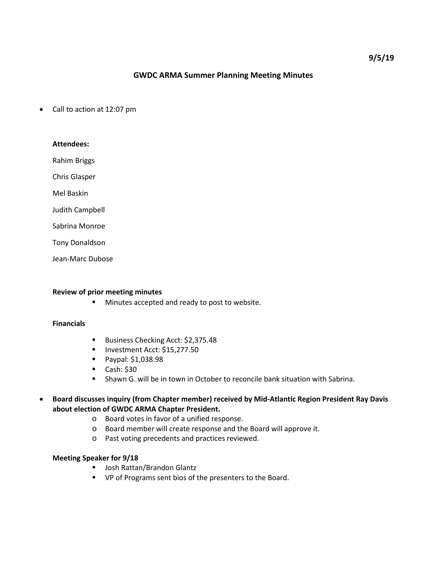# **GWDC ARMA Summer Planning Meeting Minutes**

• Call to action at 12:07 pm

# **Attendees:**

Rahim Briggs

Chris Glasper

Mel Baskin

Judith Campbell

Sabrina Monroe

Tony Donaldson

Jean-Marc Dubose

#### **Review of prior meeting minutes**

**Minutes accepted and ready to post to website.** 

#### **Financials**

- Business Checking Acct: \$2,375.48
- Investment Acct: \$15,277.50
- **Paypal: \$1,038.98**
- $\blacksquare$  Cash: \$30
- Shawn G. will be in town in October to reconcile bank situation with Sabrina.
- **Board discusses inquiry (from Chapter member) received by Mid-Atlantic Region President Ray Davis about election of GWDC ARMA Chapter President.**
	- o Board votes in favor of a unified response.
	- o Board member will create response and the Board will approve it.
	- o Past voting precedents and practices reviewed.

### **Meeting Speaker for 9/18**

- **Josh Rattan/Brandon Glantz**
- VP of Programs sent bios of the presenters to the Board.